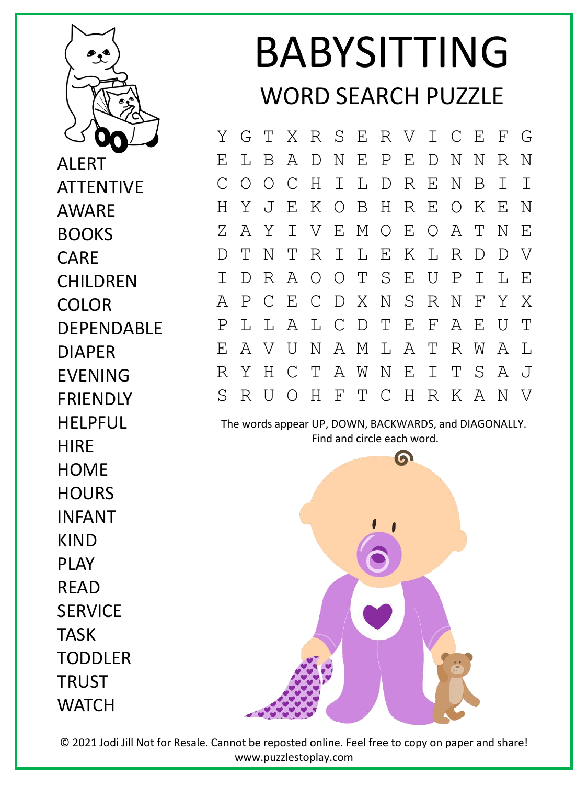

ALERT ATTENTIVE AWARE BOOKS CARE **CHILDREN** COLOR DEPENDABLE DIAPER EVENING **FRIENDLY** HELPFUL **HIRF HOME HOURS** INFANT KIND PLAY READ **SERVICE** TASK **TODDLER** TRUST **WATCH** 

## BABYSITTING WORD SEARCH PUZZLE

Y G T X R S E R V I C E F G E L B A D N E P E D N N R N C O O C H I L D R E N B I I H Y J E K O B H R E O K E N Z A Y I V E M O E O A T N E D T N T R I L E K L R D D V I D R A O O T S E U P I L E A P C E C D X N S R N F Y X P L L A L C D T E F A E U T E A V U N A M L A T R W A L R Y H C T A W N E I T S A J S R U O H F T C H R K A N V

The words appear UP, DOWN, BACKWARDS, and DIAGONALLY. Find and circle each word.



© 2021 Jodi Jill Not for Resale. Cannot be reposted online. Feel free to copy on paper and share! www.puzzlestoplay.com